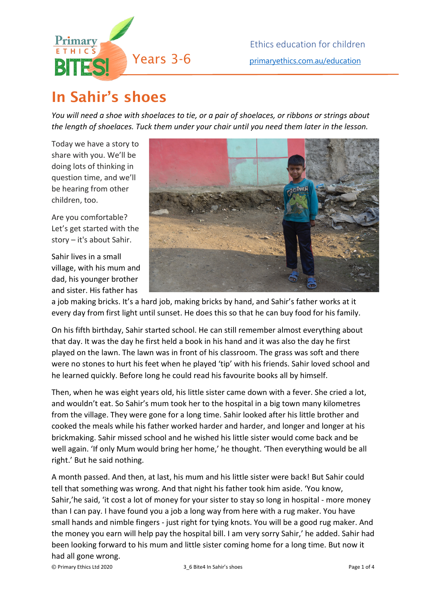

## In Sahir's shoes

*You will need a shoe with shoelaces to tie, or a pair of shoelaces, or ribbons or strings about the length of shoelaces. Tuck them under your chair until you need them later in the lesson.*

Today we have a story to share with you. We'll be doing lots of thinking in question time, and we'll be hearing from other children, too.

Are you comfortable? Let's get started with the story – it's about Sahir.

Sahir lives in a small village, with his mum and dad, his younger brother and sister. His father has



a job making bricks. It's a hard job, making bricks by hand, and Sahir's father works at it every day from first light until sunset. He does this so that he can buy food for his family.

On his fifth birthday, Sahir started school. He can still remember almost everything about that day. It was the day he first held a book in his hand and it was also the day he first played on the lawn. The lawn was in front of his classroom. The grass was soft and there were no stones to hurt his feet when he played 'tip' with his friends. Sahir loved school and he learned quickly. Before long he could read his favourite books all by himself.

Then, when he was eight years old, his little sister came down with a fever. She cried a lot, and wouldn't eat. So Sahir's mum took her to the hospital in a big town many kilometres from the village. They were gone for a long time. Sahir looked after his little brother and cooked the meals while his father worked harder and harder, and longer and longer at his brickmaking. Sahir missed school and he wished his little sister would come back and be well again. 'If only Mum would bring her home,' he thought. 'Then everything would be all right.' But he said nothing.

A month passed. And then, at last, his mum and his little sister were back! But Sahir could tell that something was wrong. And that night his father took him aside. 'You know, Sahir,'he said, 'it cost a lot of money for your sister to stay so long in hospital - more money than I can pay. I have found you a job a long way from here with a rug maker. You have small hands and nimble fingers - just right for tying knots. You will be a good rug maker. And the money you earn will help pay the hospital bill. I am very sorry Sahir,' he added. Sahir had been looking forward to his mum and little sister coming home for a long time. But now it had all gone wrong.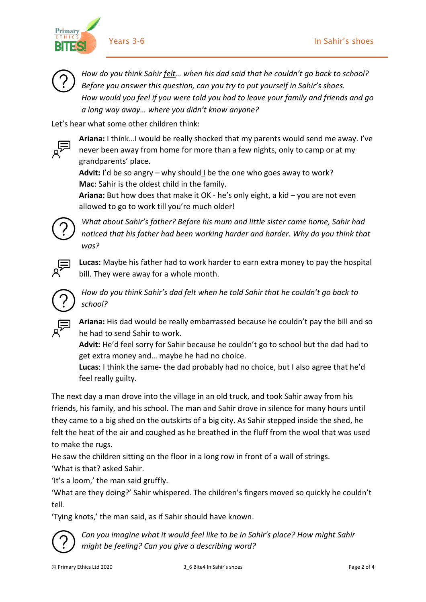

**Primary** 

*How do you think Sahir felt… when his dad said that he couldn't go back to school? Before you answer this question, can you try to put yourself in Sahir's shoes. How would you feel if you were told you had to leave your family and friends and go a long way away… where you didn't know anyone?* 

Let's hear what some other children think:



**Ariana:** I think…I would be really shocked that my parents would send me away. I've never been away from home for more than a few nights, only to camp or at my grandparents' place.

**Advit:** I'd be so angry – why should I be the one who goes away to work? **Mac**: Sahir is the oldest child in the family.

**Ariana:** But how does that make it OK - he's only eight, a kid – you are not even allowed to go to work till you're much older!



*What about Sahir's father? Before his mum and little sister came home, Sahir had noticed that his father had been working harder and harder. Why do you think that was?* 

**Lucas:** Maybe his father had to work harder to earn extra money to pay the hospital bill. They were away for a whole month.



*How do you think Sahir's dad felt when he told Sahir that he couldn't go back to school?* 



**Ariana:** His dad would be really embarrassed because he couldn't pay the bill and so he had to send Sahir to work.

**Advit:** He'd feel sorry for Sahir because he couldn't go to school but the dad had to get extra money and… maybe he had no choice.

**Lucas**: I think the same- the dad probably had no choice, but I also agree that he'd feel really guilty.

The next day a man drove into the village in an old truck, and took Sahir away from his friends, his family, and his school. The man and Sahir drove in silence for many hours until they came to a big shed on the outskirts of a big city. As Sahir stepped inside the shed, he felt the heat of the air and coughed as he breathed in the fluff from the wool that was used to make the rugs.

He saw the children sitting on the floor in a long row in front of a wall of strings. 'What is that? asked Sahir.

'It's a loom,' the man said gruffly.

'What are they doing?' Sahir whispered. The children's fingers moved so quickly he couldn't tell.

'Tying knots,' the man said, as if Sahir should have known.



*Can you imagine what it would feel like to be in Sahir's place? How might Sahir might be feeling? Can you give a describing word?*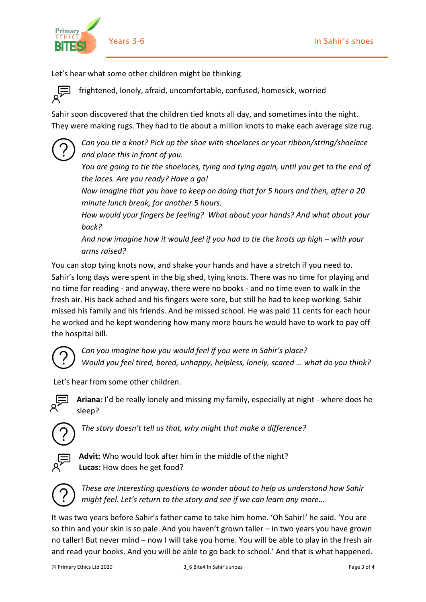

Let's hear what some other children might be thinking.

frightened, lonely, afraid, uncomfortable, confused, homesick, worried

Sahir soon discovered that the children tied knots all day, and sometimes into the night. They were making rugs. They had to tie about a million knots to make each average size rug.

*Can you tie a knot? Pick up the shoe with shoelaces or your ribbon/string/shoelace and place this in front of you.* 

*You are going to tie the shoelaces, tying and tying again, until you get to the end of the laces. Are you ready? Have a go!* 

*Now imagine that you have to keep on doing that for 5 hours and then, after a 20 minute lunch break, for another 5 hours.* 

*How would your fingers be feeling? What about your hands? And what about your back?* 

*And now imagine how it would feel if you had to tie the knots up high – with your arms raised?*

You can stop tying knots now, and shake your hands and have a stretch if you need to. Sahir's long days were spent in the big shed, tying knots. There was no time for playing and no time for reading - and anyway, there were no books - and no time even to walk in the fresh air. His back ached and his fingers were sore, but still he had to keep working. Sahir missed his family and his friends. And he missed school. He was paid 11 cents for each hour he worked and he kept wondering how many more hours he would have to work to pay off the hospital bill.



*Can you imagine how you would feel if you were in Sahir's place? Would you feel tired, bored, unhappy, helpless, lonely, scared … what do you think?*

Let's hear from some other children.



**Ariana:** I'd be really lonely and missing my family, especially at night - where does he sleep?



*The story doesn't tell us that, why might that make a difference?*



**Advit:** Who would look after him in the middle of the night? **Lucas:** How does he get food?



*These are interesting questions to wonder about to help us understand how Sahir might feel. Let's return to the story and see if we can learn any more…*

It was two years before Sahir's father came to take him home. 'Oh Sahir!' he said. 'You are so thin and your skin is so pale. And you haven't grown taller – in two years you have grown no taller! But never mind – now I will take you home. You will be able to play in the fresh air and read your books. And you will be able to go back to school.' And that is what happened.